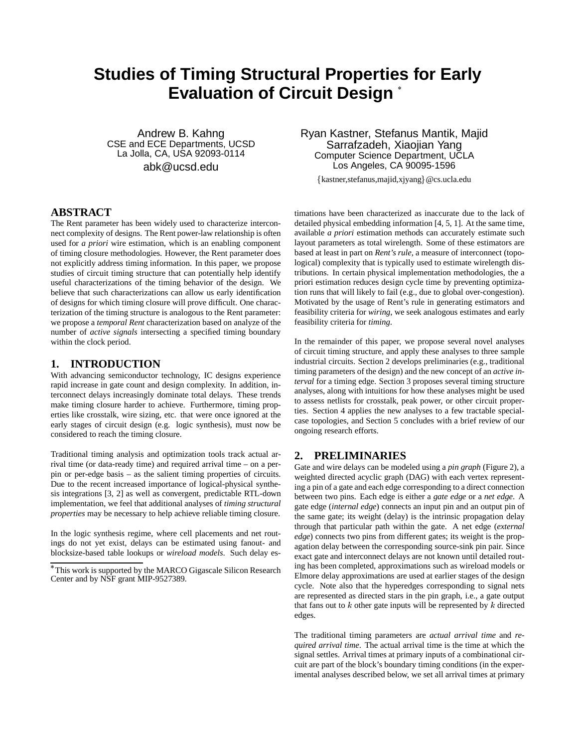# **Studies of Timing Structural Properties for Early Evaluation of Circuit Design**

Andrew B. Kahng CSE and ECE Departments, UCSD La Jolla, CA, USA 92093-0114 abk@ucsd.edu

# **ABSTRACT**

The Rent parameter has been widely used to characterize interconnect complexity of designs. The Rent power-law relationship is often used for *a priori* wire estimation, which is an enabling component of timing closure methodologies. However, the Rent parameter does not explicitly address timing information. In this paper, we propose studies of circuit timing structure that can potentially help identify useful characterizations of the timing behavior of the design. We believe that such characterizations can allow us early identification of designs for which timing closure will prove difficult. One characterization of the timing structure is analogous to the Rent parameter: we propose a *temporal Rent* characterization based on analyze of the number of *active signals* intersecting a specified timing boundary within the clock period.

# **1. INTRODUCTION**

With advancing semiconductor technology, IC designs experience rapid increase in gate count and design complexity. In addition, interconnect delays increasingly dominate total delays. These trends make timing closure harder to achieve. Furthermore, timing properties like crosstalk, wire sizing, etc. that were once ignored at the early stages of circuit design (e.g. logic synthesis), must now be considered to reach the timing closure.

Traditional timing analysis and optimization tools track actual arrival time (or data-ready time) and required arrival time – on a perpin or per-edge basis – as the salient timing properties of circuits. Due to the recent increased importance of logical-physical synthesis integrations [3, 2] as well as convergent, predictable RTL-down implementation, we feel that additional analyses of *timing structural properties* may be necessary to help achieve reliable timing closure.

In the logic synthesis regime, where cell placements and net routings do not yet exist, delays can be estimated using fanout- and blocksize-based table lookups or *wireload models*. Such delay esRyan Kastner, Stefanus Mantik, Majid Sarrafzadeh, Xiaojian Yang Computer Science Department, UCLA Los Angeles, CA 90095-1596

{kastner, stefanus, majid, xjyang}@cs.ucla.edu

timations have been characterized as inaccurate due to the lack of detailed physical embedding information [4, 5, 1]. At the same time, available *a priori* estimation methods can accurately estimate such layout parameters as total wirelength. Some of these estimators are based at least in part on *Rent's rule*, a measure of interconnect (topological) complexity that is typically used to estimate wirelength distributions. In certain physical implementation methodologies, the a priori estimation reduces design cycle time by preventing optimization runs that will likely to fail (e.g., due to global over-congestion). Motivated by the usage of Rent's rule in generating estimators and feasibility criteria for *wiring*, we seek analogous estimates and early feasibility criteria for *timing*.

In the remainder of this paper, we propose several novel analyses of circuit timing structure, and apply these analyses to three sample industrial circuits. Section 2 develops preliminaries (e.g., traditional timing parameters of the design) and the new concept of an *active interval* for a timing edge. Section 3 proposes several timing structure analyses, along with intuitions for how these analyses might be used to assess netlists for crosstalk, peak power, or other circuit properties. Section 4 applies the new analyses to a few tractable specialcase topologies, and Section 5 concludes with a brief review of our ongoing research efforts.

# **2. PRELIMINARIES**

Gate and wire delays can be modeled using a *pin graph* (Figure 2), a weighted directed acyclic graph (DAG) with each vertex representing a pin of a gate and each edge corresponding to a direct connection between two pins. Each edge is either a *gate edge* or a *net edge*. A gate edge (*internal edge*) connects an input pin and an output pin of the same gate; its weight (delay) is the intrinsic propagation delay through that particular path within the gate. A net edge (*external edge*) connects two pins from different gates; its weight is the propagation delay between the corresponding source-sink pin pair. Since exact gate and interconnect delays are not known until detailed routing has been completed, approximations such as wireload models or Elmore delay approximations are used at earlier stages of the design cycle. Note also that the hyperedges corresponding to signal nets are represented as directed stars in the pin graph, i.e., a gate output that fans out to  $k$  other gate inputs will be represented by  $k$  directed edges.

The traditional timing parameters are *actual arrival time* and *required arrival time*. The actual arrival time is the time at which the signal settles. Arrival times at primary inputs of a combinational circuit are part of the block's boundary timing conditions (in the experimental analyses described below, we set all arrival times at primary

This work is supported by the MARCO Gigascale Silicon Research Center and by NSF grant MIP-9527389.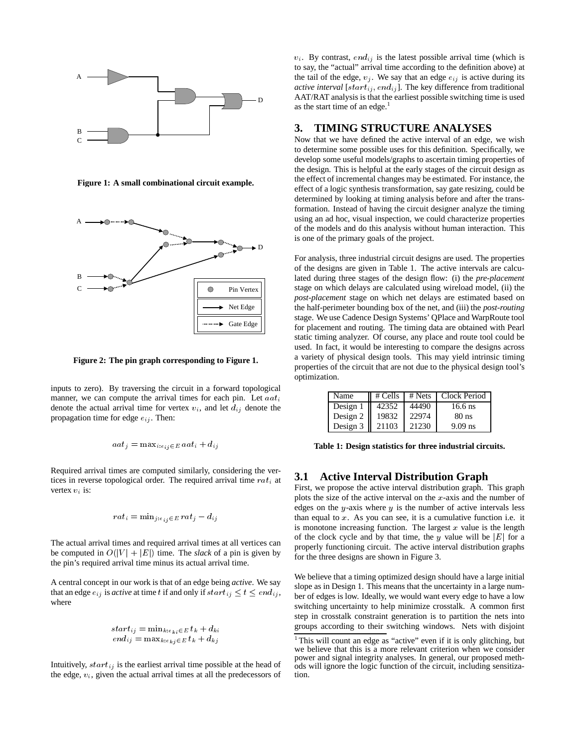

**Figure 1: A small combinational circuit example.**



**Figure 2: The pin graph corresponding to Figure 1.**

inputs to zero). By traversing the circuit in a forward topological manner, we can compute the arrival times for each pin. Let  $a a t_i$ denote the actual arrival time for vertex  $v_i$ , and let  $d_{ij}$  denote the propagation time for edge  $e_{ij}$ . Then:

$$
aat_j = \max_{i: e_{ij} \in E} aat_i + d_{ij}
$$

Required arrival times are computed similarly, considering the vertices in reverse topological order. The required arrival time  $rat_i$  at vertex  $v_i$  is:

$$
rat_i=\text{min}_{j:e_i, i\in E}\,rat_j-d_{ij}
$$

The actual arrival times and required arrival times at all vertices can be computed in  $O(|V| + |E|)$  time. The *slack* of a pin is given by the pin's required arrival time minus its actual arrival time.

A central concept in our work is that of an edge being *active*. We say that an edge  $e_{ij}$  is *active* at time t if and only if  $start_{ij} \leq t \leq end_{ij}$ , where

$$
\begin{array}{l} start_{ij} = \min_{k: e_{ki} \in E} t_k + d_{ki} \\ end_{ij} = \max_{k: e_{ki} \in E} t_k + d_{kj} \end{array}
$$

Intuitively,  $start_{ij}$  is the earliest arrival time possible at the head of the edge,  $v_i$ , given the actual arrival times at all the predecessors of  $v_i$ . By contrast, end<sub>ij</sub> is the latest possible arrival time (which is to say, the "actual" arrival time according to the definition above) at the tail of the edge,  $v_i$ . We say that an edge  $e_{ij}$  is active during its *active interval* [ $start_{ij}$ ,  $end_{ij}$ ]. The key difference from traditional AAT/RAT analysis is that the earliest possible switching time is used as the start time of an edge. $<sup>1</sup>$ </sup>

## **3. TIMING STRUCTURE ANALYSES**

Now that we have defined the active interval of an edge, we wish to determine some possible uses for this definition. Specifically, we develop some useful models/graphs to ascertain timing properties of the design. This is helpful at the early stages of the circuit design as the effect of incremental changes may be estimated. For instance, the effect of a logic synthesis transformation, say gate resizing, could be determined by looking at timing analysis before and after the transformation. Instead of having the circuit designer analyze the timing using an ad hoc, visual inspection, we could characterize properties of the models and do this analysis without human interaction. This is one of the primary goals of the project.

For analysis, three industrial circuit designs are used. The properties of the designs are given in Table 1. The active intervals are calculated during three stages of the design flow: (i) the *pre-placement* stage on which delays are calculated using wireload model, (ii) the *post-placement* stage on which net delays are estimated based on the half-perimeter bounding box of the net, and (iii) the *post-routing* stage. We use Cadence Design Systems' QPlace and WarpRoute tool for placement and routing. The timing data are obtained with Pearl static timing analyzer. Of course, any place and route tool could be used. In fact, it would be interesting to compare the designs across a variety of physical design tools. This may yield intrinsic timing properties of the circuit that are not due to the physical design tool's optimization.

| Name                 |       |       | $\parallel$ # Cells $\parallel$ # Nets $\parallel$ Clock Period |
|----------------------|-------|-------|-----------------------------------------------------------------|
| Design $1 \parallel$ | 42352 | 44490 | $16.6$ ns                                                       |
| Design $2 \parallel$ | 19832 | 22974 | $80$ ns                                                         |
| Design $3 \parallel$ | 21103 | 21230 | $9.09$ ns                                                       |

**Table 1: Design statistics for three industrial circuits.**

# **3.1 Active Interval Distribution Graph**

First, we propose the active interval distribution graph. This graph plots the size of the active interval on the  $x$ -axis and the number of edges on the y-axis where  $y$  is the number of active intervals less than equal to  $x$ . As you can see, it is a cumulative function i.e. it is monotone increasing function. The largest  $x$  value is the length of the clock cycle and by that time, the y value will be  $|E|$  for a properly functioning circuit. The active interval distribution graphs for the three designs are shown in Figure 3.

We believe that a timing optimized design should have a large initial slope as in Design 1. This means that the uncertainty in a large number of edges is low. Ideally, we would want every edge to have a low switching uncertainty to help minimize crosstalk. A common first step in crosstalk constraint generation is to partition the nets into groups according to their switching windows. Nets with disjoint

<sup>&</sup>lt;sup>1</sup>This will count an edge as "active" even if it is only glitching, but we believe that this is a more relevant criterion when we consider power and signal integrity analyses. In general, our proposed methods will ignore the logic function of the circuit, including sensitization.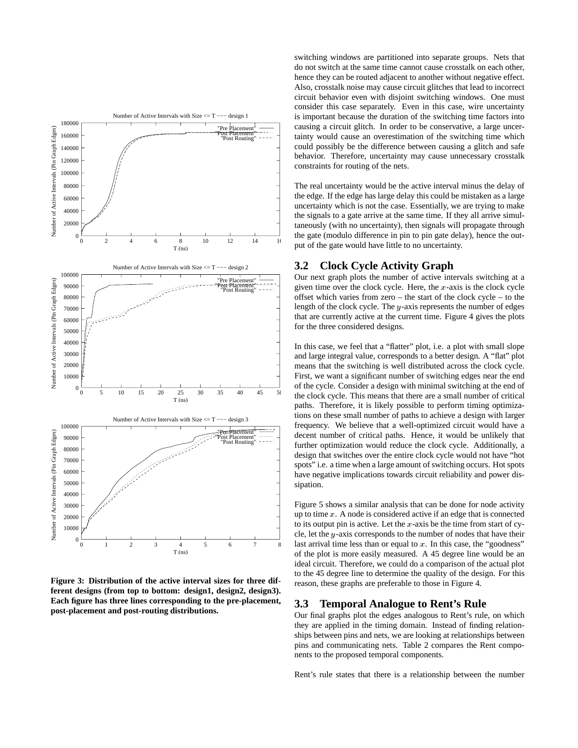

**Figure 3: Distribution of the active interval sizes for three different designs (from top to bottom: design1, design2, design3). Each figure has three lines corresponding to the pre-placement, post-placement and post-routing distributions.**

switching windows are partitioned into separate groups. Nets that do not switch at the same time cannot cause crosstalk on each other, hence they can be routed adjacent to another without negative effect. Also, crosstalk noise may cause circuit glitches that lead to incorrect circuit behavior even with disjoint switching windows. One must consider this case separately. Even in this case, wire uncertainty is important because the duration of the switching time factors into causing a circuit glitch. In order to be conservative, a large uncertainty would cause an overestimation of the switching time which could possibly be the difference between causing a glitch and safe behavior. Therefore, uncertainty may cause unnecessary crosstalk constraints for routing of the nets.

The real uncertainty would be the active interval minus the delay of the edge. If the edge has large delay this could be mistaken as a large uncertainty which is not the case. Essentially, we are trying to make the signals to a gate arrive at the same time. If they all arrive simultaneously (with no uncertainty), then signals will propagate through the gate (modulo difference in pin to pin gate delay), hence the output of the gate would have little to no uncertainty.

# **3.2 Clock Cycle Activity Graph**

Our next graph plots the number of active intervals switching at a given time over the clock cycle. Here, the  $x$ -axis is the clock cycle offset which varies from zero – the start of the clock cycle – to the length of the clock cycle. The y-axis represents the number of edges that are currently active at the current time. Figure 4 gives the plots for the three considered designs.

In this case, we feel that a "flatter" plot, i.e. a plot with small slope and large integral value, corresponds to a better design. A "flat" plot means that the switching is well distributed across the clock cycle. First, we want a significant number of switching edges near the end of the cycle. Consider a design with minimal switching at the end of the clock cycle. This means that there are a small number of critical paths. Therefore, it is likely possible to perform timing optimizations on these small number of paths to achieve a design with larger frequency. We believe that a well-optimized circuit would have a decent number of critical paths. Hence, it would be unlikely that further optimization would reduce the clock cycle. Additionally, a design that switches over the entire clock cycle would not have "hot spots" i.e. a time when a large amount of switching occurs. Hot spots have negative implications towards circuit reliability and power dissipation.

Figure 5 shows a similar analysis that can be done for node activity up to time  $x$ . A node is considered active if an edge that is connected to its output pin is active. Let the  $x$ -axis be the time from start of cycle, let the <sup>y</sup>-axis corresponds to the number of nodes that have their last arrival time less than or equal to  $x$ . In this case, the "goodness" of the plot is more easily measured. A 45 degree line would be an ideal circuit. Therefore, we could do a comparison of the actual plot to the 45 degree line to determine the quality of the design. For this reason, these graphs are preferable to those in Figure 4.

# **3.3 Temporal Analogue to Rent's Rule**

Our final graphs plot the edges analogous to Rent's rule, on which they are applied in the timing domain. Instead of finding relationships between pins and nets, we are looking at relationships between pins and communicating nets. Table 2 compares the Rent components to the proposed temporal components.

Rent's rule states that there is a relationship between the number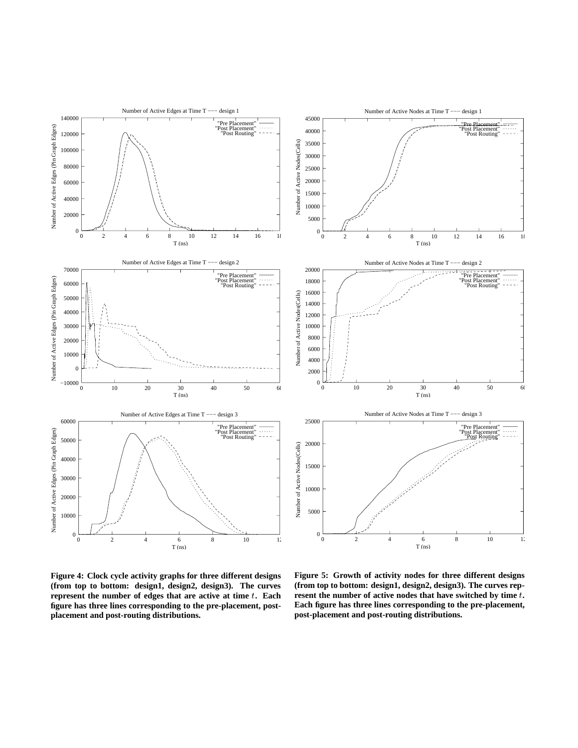

**Figure 4: Clock cycle activity graphs for three different designs (from top to bottom: design1, design2, design3). The curves represent the number of edges that are active at time** t**. Each figure has three lines corresponding to the pre-placement, postplacement and post-routing distributions.**

**Figure 5: Growth of activity nodes for three different designs (from top to bottom: design1, design2, design3). The curves represent the number of active nodes that have switched by time** <sup>t</sup>**. Each figure has three lines corresponding to the pre-placement, post-placement and post-routing distributions.**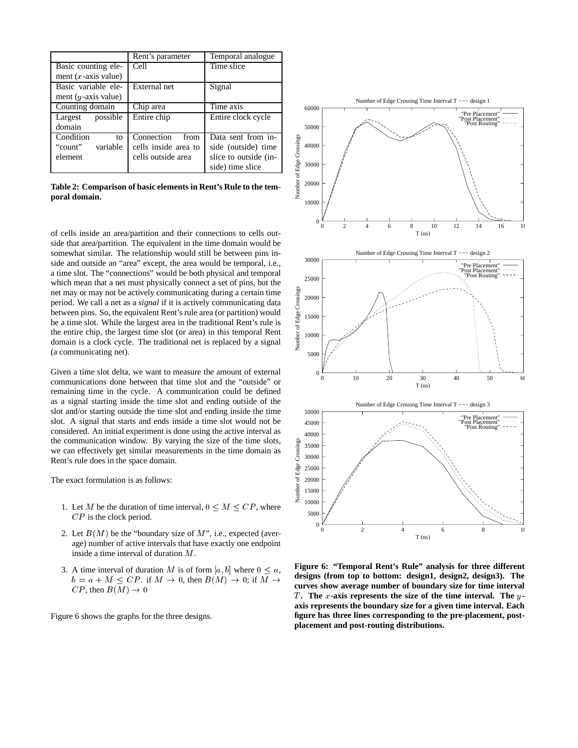|                         | Rent's parameter     | Temporal analogue     |
|-------------------------|----------------------|-----------------------|
| Basic counting ele-     | Cell                 | Time slice            |
| ment $(x$ -axis value)  |                      |                       |
| Basic variable ele-     | External net         | Signal                |
| ment ( $y$ -axis value) |                      |                       |
| Counting domain         | Chip area            | Time axis             |
| possible<br>Largest     | Entire chip          | Entire clock cycle    |
| domain                  |                      |                       |
| Condition<br>to         | Connection<br>from   | Data sent from in-    |
| "count"<br>variable     | cells inside area to | side (outside) time   |
| element                 | cells outside area   | slice to outside (in- |
|                         |                      | side) time slice      |

**Table 2: Comparison of basic elements in Rent's Rule to the temporal domain.**

of cells inside an area/partition and their connections to cells outside that area/partition. The equivalent in the time domain would be somewhat similar. The relationship would still be between pins inside and outside an "area" except, the area would be temporal, i.e., a time slot. The "connections" would be both physical and temporal which mean that a net must physically connect a set of pins, but the net may or may not be actively communicating during a certain time period. We call a net as a *signal* if it is actively communicating data between pins. So, the equivalent Rent's rule area (or partition) would be a time slot. While the largest area in the traditional Rent's rule is the entire chip, the largest time slot (or area) in this temporal Rent domain is a clock cycle. The traditional net is replaced by a signal (a communicating net).

Given a time slot delta, we want to measure the amount of external communications done between that time slot and the "outside" or remaining time in the cycle. A communication could be defined as a signal starting inside the time slot and ending outside of the slot and/or starting outside the time slot and ending inside the time slot. A signal that starts and ends inside a time slot would not be considered. An initial experiment is done using the active interval as the communication window. By varying the size of the time slots, we can effectively get similar measurements in the time domain as Rent's rule does in the space domain.

The exact formulation is as follows:

- 1. Let M be the duration of time interval,  $0 \leq M \leq CP$ , where CP is the clock period.
- 2. Let  $B(M)$  be the "boundary size of M", i.e., expected (average) number of active intervals that have exactly one endpoint inside a time interval of duration M.
- 3. A time interval of duration M is of form  $[a, b]$  where  $0 \leq a$ ,  $b = a + M \leq CP$ . if  $M \to 0$ , then  $B(M) \to 0$ ; if  $M \to$  $CP$ , then  $B(M) \rightarrow 0$

Figure 6 shows the graphs for the three designs.



**Figure 6: "Temporal Rent's Rule" analysis for three different designs (from top to bottom: design1, design2, design3). The curves show average number of boundary size for time interval** T. The x-axis represents the size of the time interval. The y**axis represents the boundary size for a given time interval. Each figure has three lines corresponding to the pre-placement, postplacement and post-routing distributions.**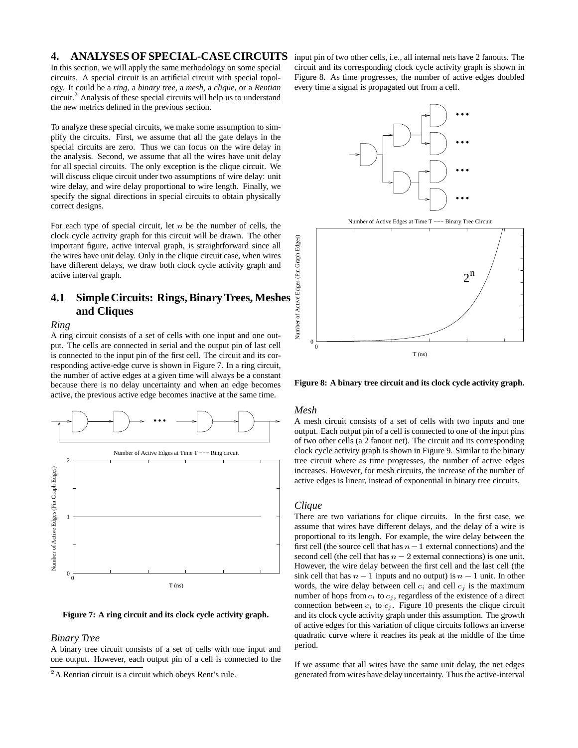## **4. ANALYSES OF SPECIAL-CASE CIRCUITS**

In this section, we will apply the same methodology on some special circuits. A special circuit is an artificial circuit with special topology. It could be a *ring*, a *binary tree*, a *mesh*, a *clique*, or a *Rentian* circuit.<sup>2</sup> Analysis of these special circuits will help us to understand the new metrics defined in the previous section.

To analyze these special circuits, we make some assumption to simplify the circuits. First, we assume that all the gate delays in the special circuits are zero. Thus we can focus on the wire delay in the analysis. Second, we assume that all the wires have unit delay for all special circuits. The only exception is the clique circuit. We will discuss clique circuit under two assumptions of wire delay: unit wire delay, and wire delay proportional to wire length. Finally, we specify the signal directions in special circuits to obtain physically correct designs.

For each type of special circuit, let  $n$  be the number of cells, the clock cycle activity graph for this circuit will be drawn. The other important figure, active interval graph, is straightforward since all the wires have unit delay. Only in the clique circuit case, when wires have different delays, we draw both clock cycle activity graph and active interval graph.

# **4.1 Simple Circuits: Rings, Binary Trees, Meshes and Cliques**

#### *Ring*

A ring circuit consists of a set of cells with one input and one output. The cells are connected in serial and the output pin of last cell is connected to the input pin of the first cell. The circuit and its corresponding active-edge curve is shown in Figure 7. In a ring circuit, the number of active edges at a given time will always be a constant because there is no delay uncertainty and when an edge becomes active, the previous active edge becomes inactive at the same time.





#### *Binary Tree*

A binary tree circuit consists of a set of cells with one input and one output. However, each output pin of a cell is connected to the input pin of two other cells, i.e., all internal nets have 2 fanouts. The circuit and its corresponding clock cycle activity graph is shown in Figure 8. As time progresses, the number of active edges doubled every time a signal is propagated out from a cell.



**Figure 8: A binary tree circuit and its clock cycle activity graph.**

### *Mesh*

A mesh circuit consists of a set of cells with two inputs and one output. Each output pin of a cell is connected to one of the input pins of two other cells (a 2 fanout net). The circuit and its corresponding clock cycle activity graph is shown in Figure 9. Similar to the binary tree circuit where as time progresses, the number of active edges increases. However, for mesh circuits, the increase of the number of active edges is linear, instead of exponential in binary tree circuits.

#### *Clique*

There are two variations for clique circuits. In the first case, we assume that wires have different delays, and the delay of a wire is proportional to its length. For example, the wire delay between the first cell (the source cell that has  $n - 1$  external connections) and the second cell (the cell that has  $n - 2$  external connections) is one unit. However, the wire delay between the first cell and the last cell (the sink cell that has  $n - 1$  inputs and no output) is  $n - 1$  unit. In other words, the wire delay between cell  $c_i$  and cell  $c_j$  is the maximum number of hops from  $c_i$  to  $c_j$ , regardless of the existence of a direct connection between  $c_i$  to  $c_j$ . Figure 10 presents the clique circuit and its clock cycle activity graph under this assumption. The growth of active edges for this variation of clique circuits follows an inverse quadratic curve where it reaches its peak at the middle of the time period.

If we assume that all wires have the same unit delay, the net edges generated from wires have delay uncertainty. Thus the active-interval

<sup>&</sup>lt;sup>2</sup>A Rentian circuit is a circuit which obeys Rent's rule.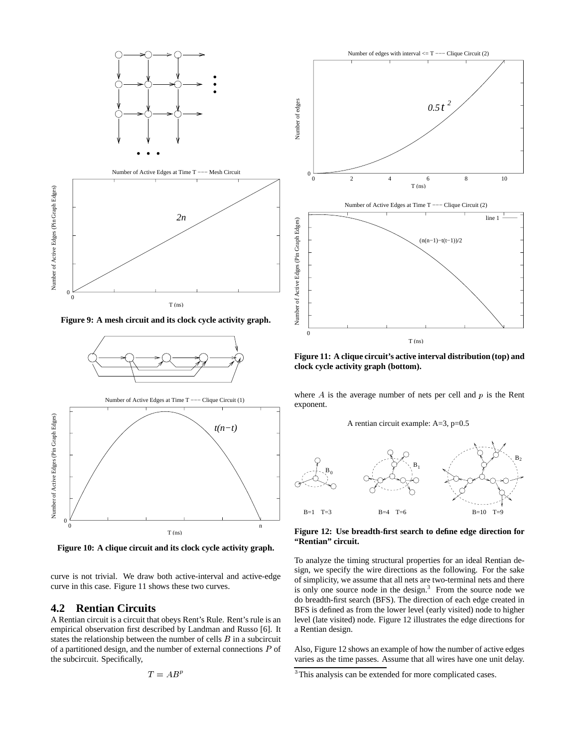

**Figure 9: A mesh circuit and its clock cycle activity graph.**



**Figure 10: A clique circuit and its clock cycle activity graph.**

curve is not trivial. We draw both active-interval and active-edge curve in this case. Figure 11 shows these two curves.

## **4.2 Rentian Circuits**

A Rentian circuit is a circuit that obeys Rent's Rule. Rent's rule is an empirical observation first described by Landman and Russo [6]. It states the relationship between the number of cells  $B$  in a subcircuit of a partitioned design, and the number of external connections  $P$  of the subcircuit. Specifically,

$$
T=AB^p
$$



**Figure 11: A clique circuit's active interval distribution (top) and clock cycle activity graph (bottom).**

where  $A$  is the average number of nets per cell and  $p$  is the Rent exponent.

A rentian circuit example: A=3, p=0.5



**Figure 12: Use breadth-first search to define edge direction for "Rentian" circuit.**

To analyze the timing structural properties for an ideal Rentian design, we specify the wire directions as the following. For the sake of simplicity, we assume that all nets are two-terminal nets and there is only one source node in the design. $3$  From the source node we do breadth-first search (BFS). The direction of each edge created in BFS is defined as from the lower level (early visited) node to higher level (late visited) node. Figure 12 illustrates the edge directions for a Rentian design.

Also, Figure 12 shows an example of how the number of active edges varies as the time passes. Assume that all wires have one unit delay.

<sup>&</sup>lt;sup>3</sup>This analysis can be extended for more complicated cases.